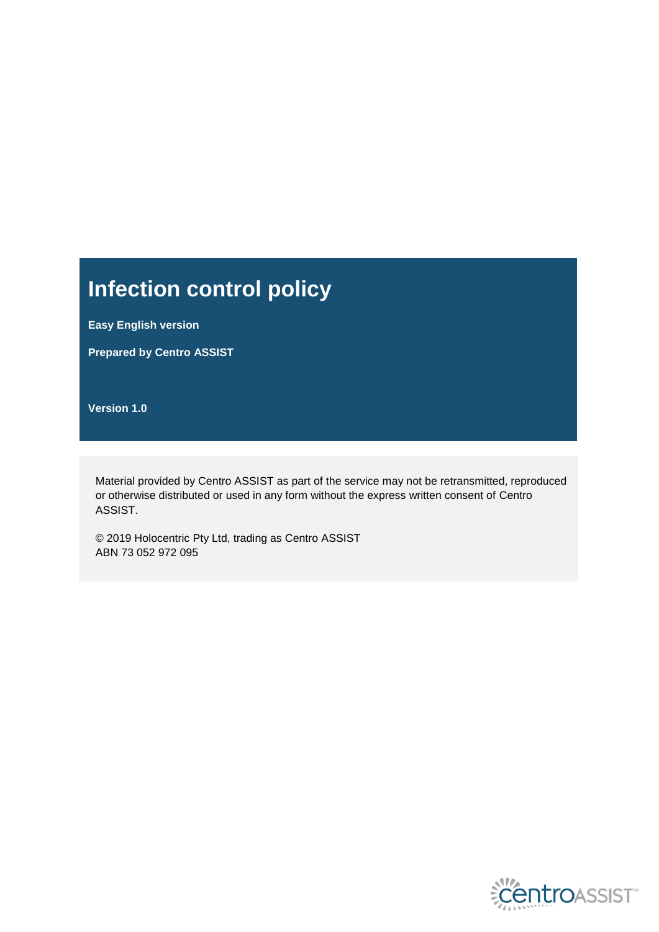# **Infection control policy**

**Easy English version**

**Prepared by Centro ASSIST**

**Version 1.0**

Material provided by Centro ASSIST as part of the service may not be retransmitted, reproduced or otherwise distributed or used in any form without the express written consent of Centro ASSIST.

© 2019 Holocentric Pty Ltd, trading as Centro ASSIST ABN 73 052 972 095

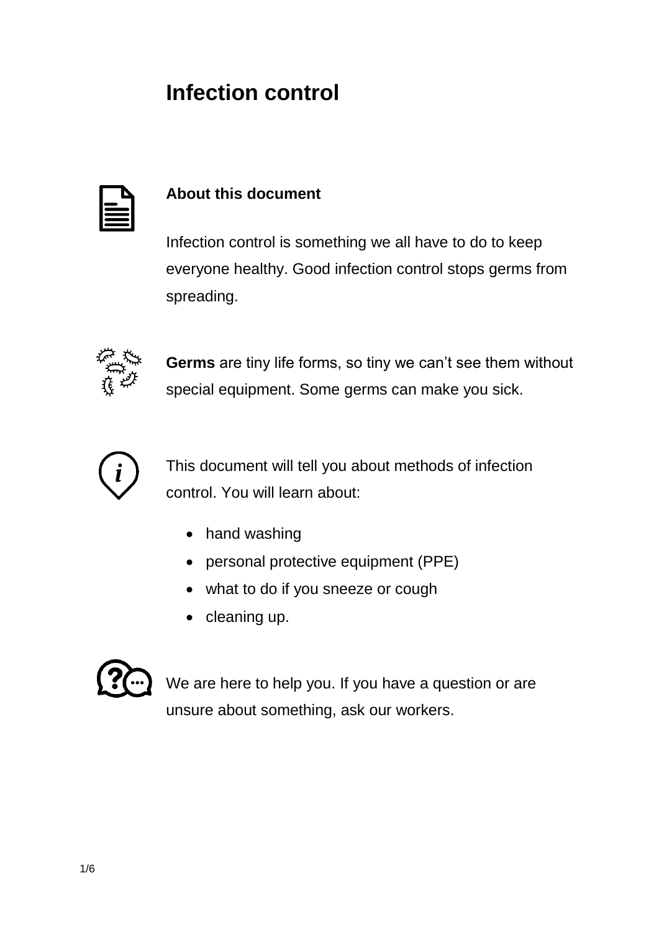## **Infection control**

#### **About this document**

Infection control is something we all have to do to keep everyone healthy. Good infection control stops germs from spreading.



**Germs** are tiny life forms, so tiny we can't see them without special equipment. Some germs can make you sick.



This document will tell you about methods of infection control. You will learn about:

- hand washing
- personal protective equipment (PPE)
- what to do if you sneeze or cough
- $\bullet$  cleaning up.



We are here to help you. If you have a question or are unsure about something, ask our workers.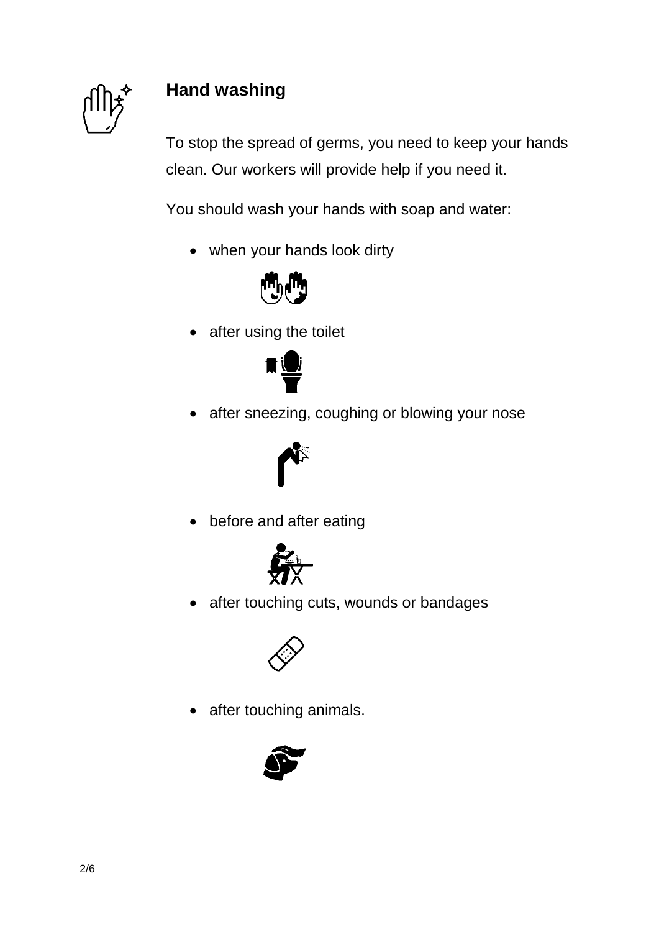

### **Hand washing**

To stop the spread of germs, you need to keep your hands clean. Our workers will provide help if you need it.

You should wash your hands with soap and water:

when your hands look dirty



• after using the toilet



• after sneezing, coughing or blowing your nose



• before and after eating



• after touching cuts, wounds or bandages



• after touching animals.

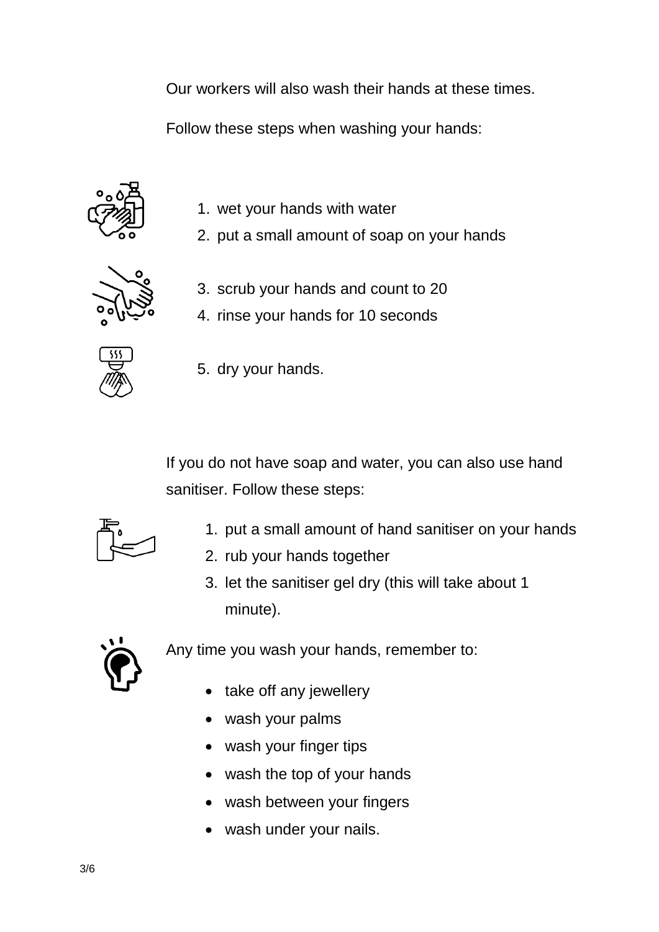Our workers will also wash their hands at these times.

Follow these steps when washing your hands:



- 1. wet your hands with water
- 2. put a small amount of soap on your hands



- 3. scrub your hands and count to 20
- 4. rinse your hands for 10 seconds



5. dry your hands.

If you do not have soap and water, you can also use hand sanitiser. Follow these steps:



- 1. put a small amount of hand sanitiser on your hands
- 2. rub your hands together
- 3. let the sanitiser gel dry (this will take about 1 minute).



Any time you wash your hands, remember to:

- take off any jewellery
- wash your palms
- wash your finger tips
- wash the top of your hands
- wash between your fingers
- wash under your nails.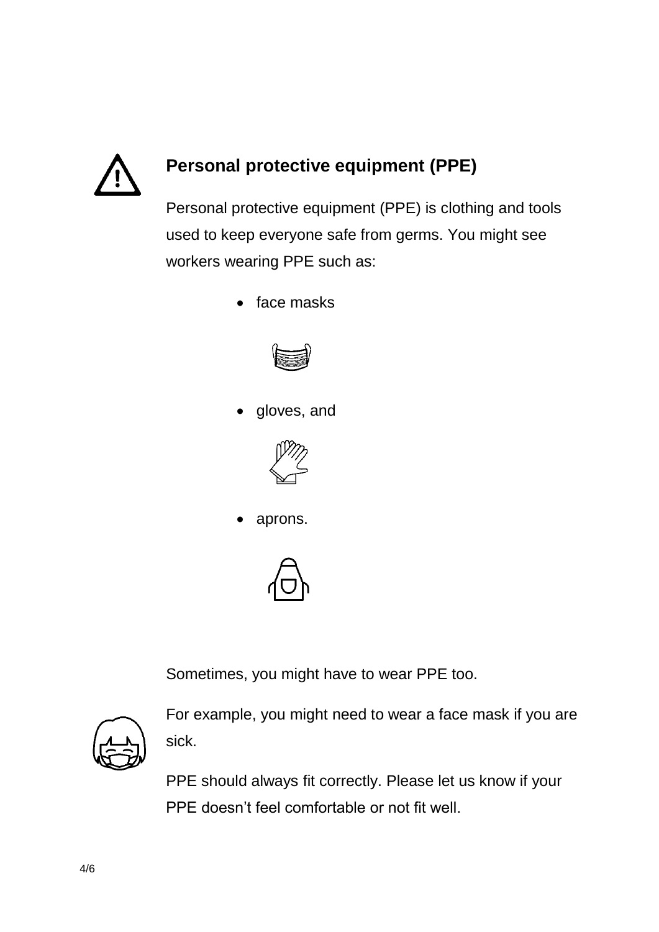

## **Personal protective equipment (PPE)**

Personal protective equipment (PPE) is clothing and tools used to keep everyone safe from germs. You might see workers wearing PPE such as:

• face masks



gloves, and



aprons.



Sometimes, you might have to wear PPE too.



For example, you might need to wear a face mask if you are sick.

PPE should always fit correctly. Please let us know if your PPE doesn't feel comfortable or not fit well.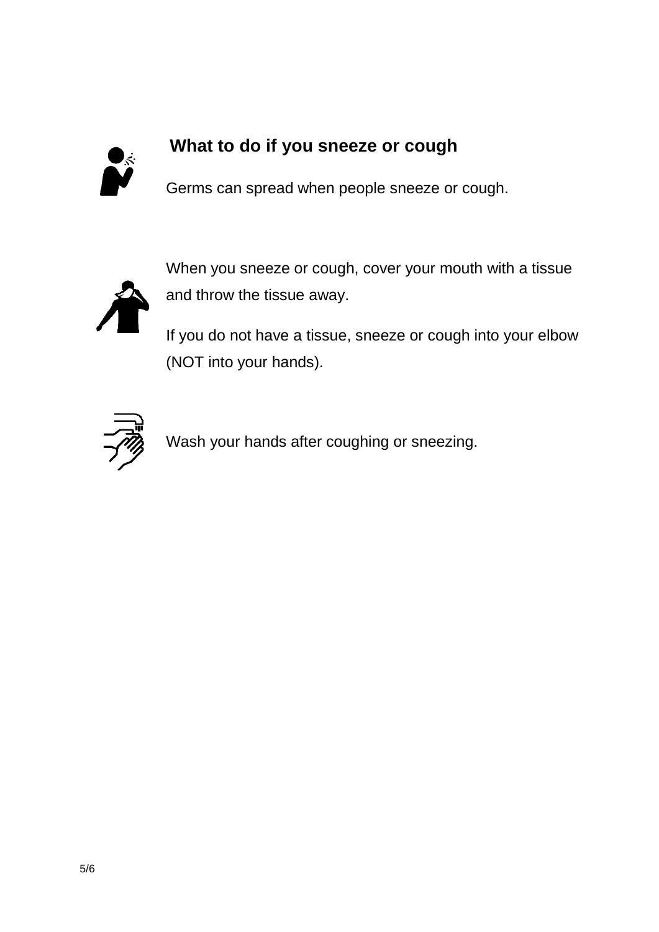

### **What to do if you sneeze or cough**

Germs can spread when people sneeze or cough.



When you sneeze or cough, cover your mouth with a tissue and throw the tissue away.

If you do not have a tissue, sneeze or cough into your elbow (NOT into your hands).



Wash your hands after coughing or sneezing.